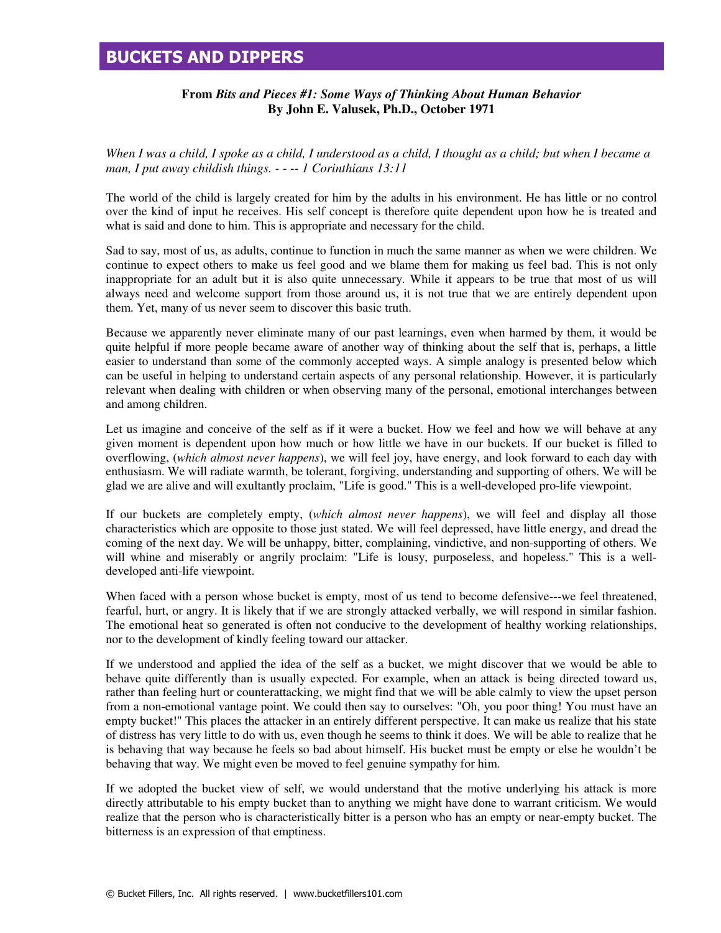## **BUCKETS AND DIPPERS**

## **From** *Bits and Pieces #1: Some Ways of Thinking About Human Behavior* **By John E. Valusek, Ph.D., October 1971**

*When I was a child, I spoke as a child, I understood as a child, I thought as a child; but when I became a man, I put away childish things. - - -- 1 Corinthians 13:11* 

The world of the child is largely created for him by the adults in his environment. He has little or no control over the kind of input he receives. His self concept is therefore quite dependent upon how he is treated and what is said and done to him. This is appropriate and necessary for the child.

Sad to say, most of us, as adults, continue to function in much the same manner as when we were children. We continue to expect others to make us feel good and we blame them for making us feel bad. This is not only inappropriate for an adult but it is also quite unnecessary. While it appears to be true that most of us will always need and welcome support from those around us, it is not true that we are entirely dependent upon them. Yet, many of us never seem to discover this basic truth.

Because we apparently never eliminate many of our past learnings, even when harmed by them, it would be quite helpful if more people became aware of another way of thinking about the self that is, perhaps, a little easier to understand than some of the commonly accepted ways. A simple analogy is presented below which can be useful in helping to understand certain aspects of any personal relationship. However, it is particularly relevant when dealing with children or when observing many of the personal, emotional interchanges between and among children.

Let us imagine and conceive of the self as if it were a bucket. How we feel and how we will behave at any given moment is dependent upon how much or how little we have in our buckets. If our bucket is filled to overflowing, (*which almost never happens*), we will feel joy, have energy, and look forward to each day with enthusiasm. We will radiate warmth, be tolerant, forgiving, understanding and supporting of others. We will be glad we are alive and will exultantly proclaim, "Life is good." This is a well-developed pro-life viewpoint.

If our buckets are completely empty, (*which almost never happens*), we will feel and display all those characteristics which are opposite to those just stated. We will feel depressed, have little energy, and dread the coming of the next day. We will be unhappy, bitter, complaining, vindictive, and non-supporting of others. We will whine and miserably or angrily proclaim: "Life is lousy, purposeless, and hopeless." This is a welldeveloped anti-life viewpoint.

When faced with a person whose bucket is empty, most of us tend to become defensive---we feel threatened, fearful, hurt, or angry. It is likely that if we are strongly attacked verbally, we will respond in similar fashion. The emotional heat so generated is often not conducive to the development of healthy working relationships, nor to the development of kindly feeling toward our attacker.

If we understood and applied the idea of the self as a bucket, we might discover that we would be able to behave quite differently than is usually expected. For example, when an attack is being directed toward us, rather than feeling hurt or counterattacking, we might find that we will be able calmly to view the upset person from a non-emotional vantage point. We could then say to ourselves: "Oh, you poor thing! You must have an empty bucket!" This places the attacker in an entirely different perspective. It can make us realize that his state of distress has very little to do with us, even though he seems to think it does. We will be able to realize that he is behaving that way because he feels so bad about himself. His bucket must be empty or else he wouldn't be behaving that way. We might even be moved to feel genuine sympathy for him.

If we adopted the bucket view of self, we would understand that the motive underlying his attack is more directly attributable to his empty bucket than to anything we might have done to warrant criticism. We would realize that the person who is characteristically bitter is a person who has an empty or near-empty bucket. The bitterness is an expression of that emptiness.